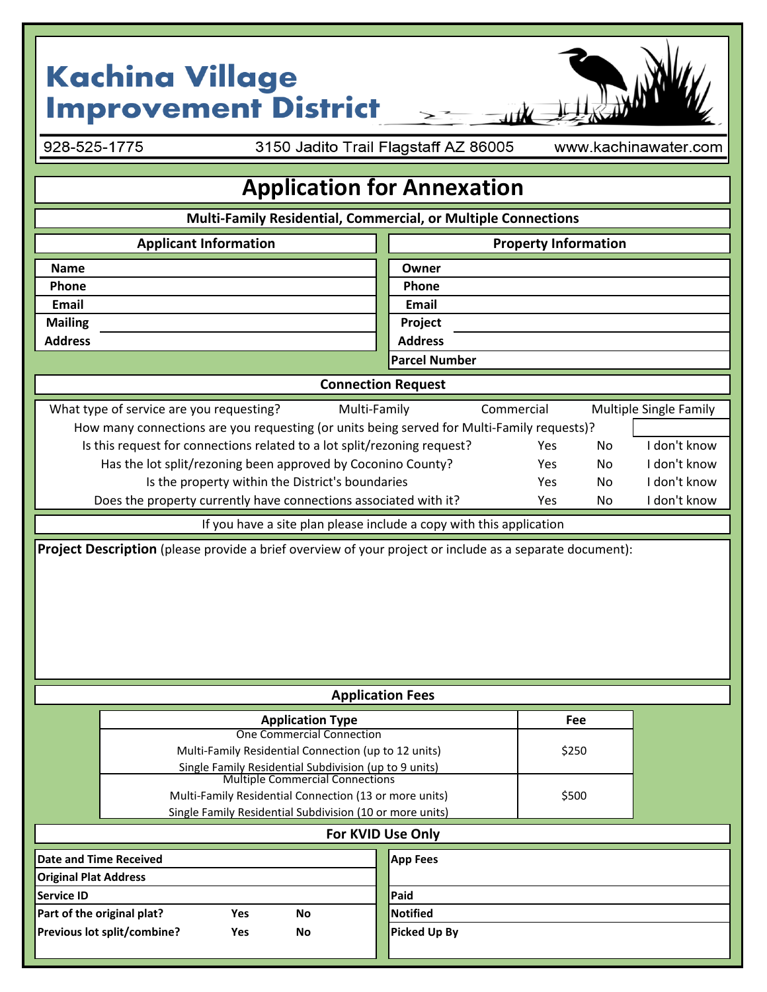## **Kachina Village<br>Improvement District**

928-525-1775

3150 Jadito Trail Flagstaff AZ 86005

www.kachinawater.com

## **Application for Annexation**

| Multi-Family Residential, Commercial, or Multiple Connections                                    |                                             |
|--------------------------------------------------------------------------------------------------|---------------------------------------------|
| <b>Applicant Information</b>                                                                     | <b>Property Information</b>                 |
| <b>Name</b>                                                                                      | Owner                                       |
| Phone                                                                                            | Phone                                       |
| <b>Email</b>                                                                                     | <b>Email</b>                                |
| <b>Mailing</b>                                                                                   | Project                                     |
| <b>Address</b>                                                                                   | <b>Address</b>                              |
|                                                                                                  | <b>Parcel Number</b>                        |
| <b>Connection Request</b>                                                                        |                                             |
| What type of service are you requesting?<br>Multi-Family                                         | Commercial<br><b>Multiple Single Family</b> |
| How many connections are you requesting (or units being served for Multi-Family requests)?       |                                             |
| Is this request for connections related to a lot split/rezoning request?                         | I don't know<br>No<br>Yes                   |
| Has the lot split/rezoning been approved by Coconino County?                                     | I don't know<br>No<br>Yes                   |
| Is the property within the District's boundaries                                                 | I don't know<br>Yes<br>No                   |
| Does the property currently have connections associated with it?                                 | I don't know<br>Yes<br>No                   |
| If you have a site plan please include a copy with this application                              |                                             |
| <b>Application Fees</b>                                                                          |                                             |
|                                                                                                  | Fee                                         |
| <b>Application Type</b><br><b>One Commercial Connection</b>                                      |                                             |
| Multi-Family Residential Connection (up to 12 units)                                             | \$250                                       |
| Single Family Residential Subdivision (up to 9 units)                                            |                                             |
| <b>Multiple Commercial Connections</b><br>Multi-Family Residential Connection (13 or more units) | \$500                                       |
| Single Family Residential Subdivision (10 or more units)                                         |                                             |
| For KVID Use Only                                                                                |                                             |
| <b>Date and Time Received</b>                                                                    | <b>App Fees</b>                             |
| <b>Original Plat Address</b>                                                                     |                                             |
| <b>Service ID</b>                                                                                | Paid                                        |
| Part of the original plat?<br>Yes<br>No                                                          | <b>Notified</b>                             |
| Previous lot split/combine?<br>Yes<br>No                                                         | <b>Picked Up By</b>                         |